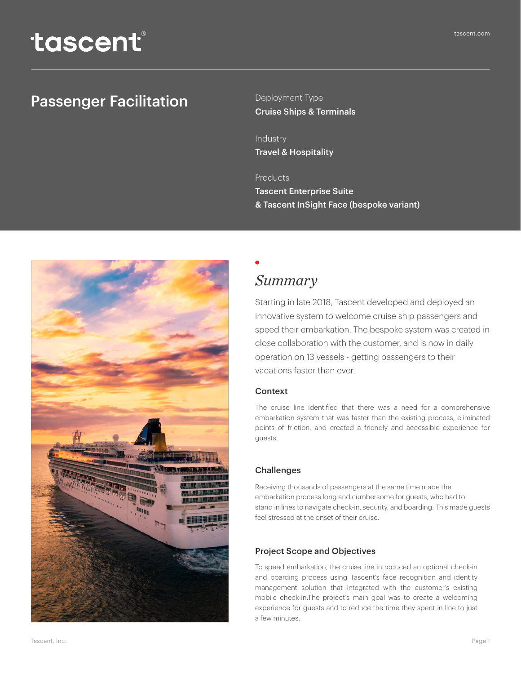Deployment Type

Industry Travel & Hospitality

#### Products

Tascent Enterprise Suite & Tascent InSight Face (bespoke variant)

# *Summary*

Starting in late 2018, Tascent developed and deployed an innovative system to welcome cruise ship passengers and speed their embarkation. The bespoke system was created in close collaboration with the customer, and is now in daily operation on 13 vessels - getting passengers to their vacations faster than ever.

#### Context

The cruise line identified that there was a need for a comprehensive embarkation system that was faster than the existing process, eliminated points of friction, and created a friendly and accessible experience for guests.

#### **Challenges**

Receiving thousands of passengers at the same time made the embarkation process long and cumbersome for guests, who had to stand in lines to navigate check-in, security, and boarding. This made guests feel stressed at the onset of their cruise.

#### Project Scope and Objectives

To speed embarkation, the cruise line introduced an optional check-in and boarding process using Tascent's face recognition and identity management solution that integrated with the customer's existing mobile check-in.The project's main goal was to create a welcoming experience for guests and to reduce the time they spent in line to just a few minutes.